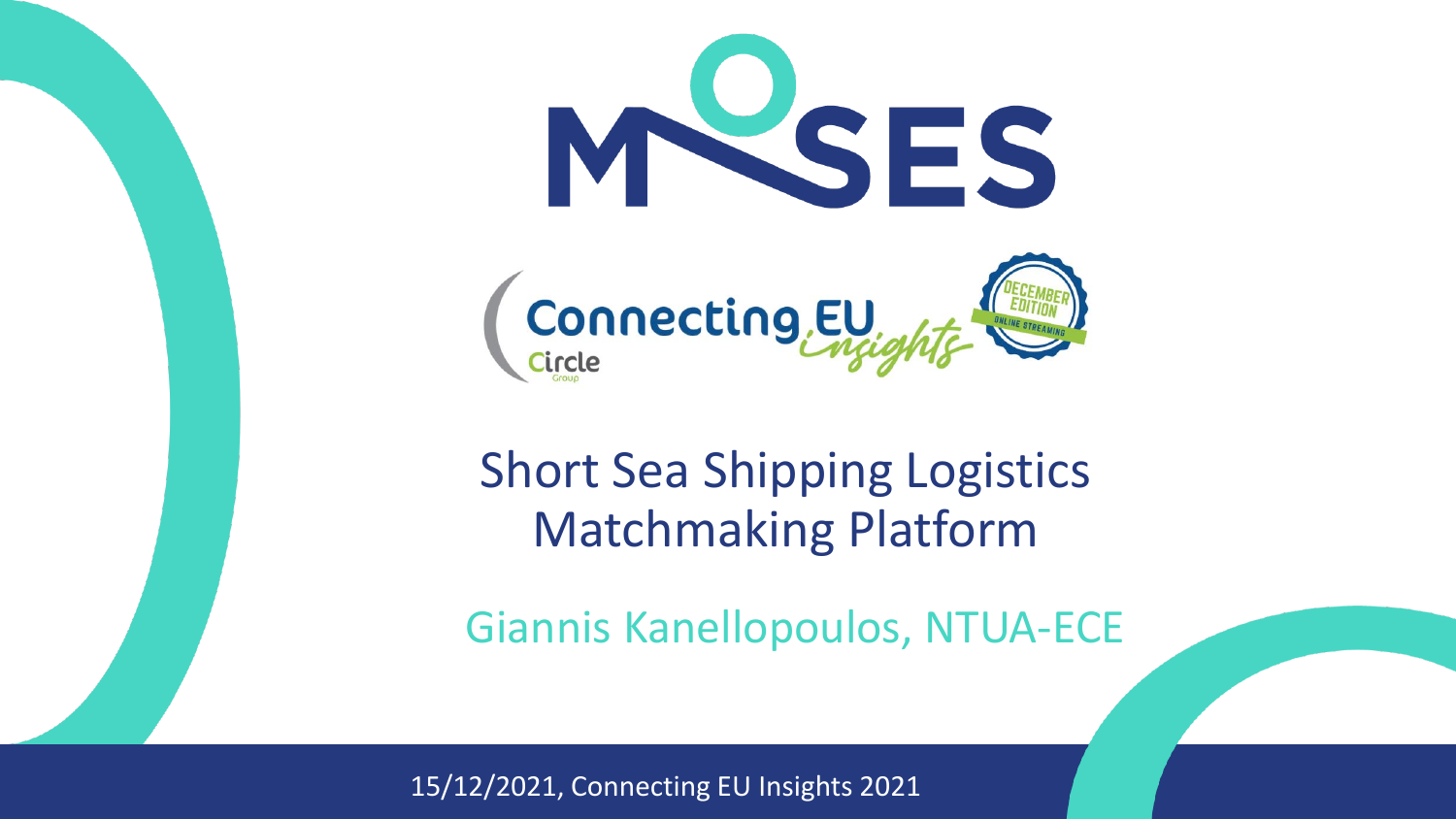

## Short Sea Shipping Logistics Matchmaking Platform

Giannis Kanellopoulos, NTUA-ECE

15/12/2021, Connecting EU Insights 2021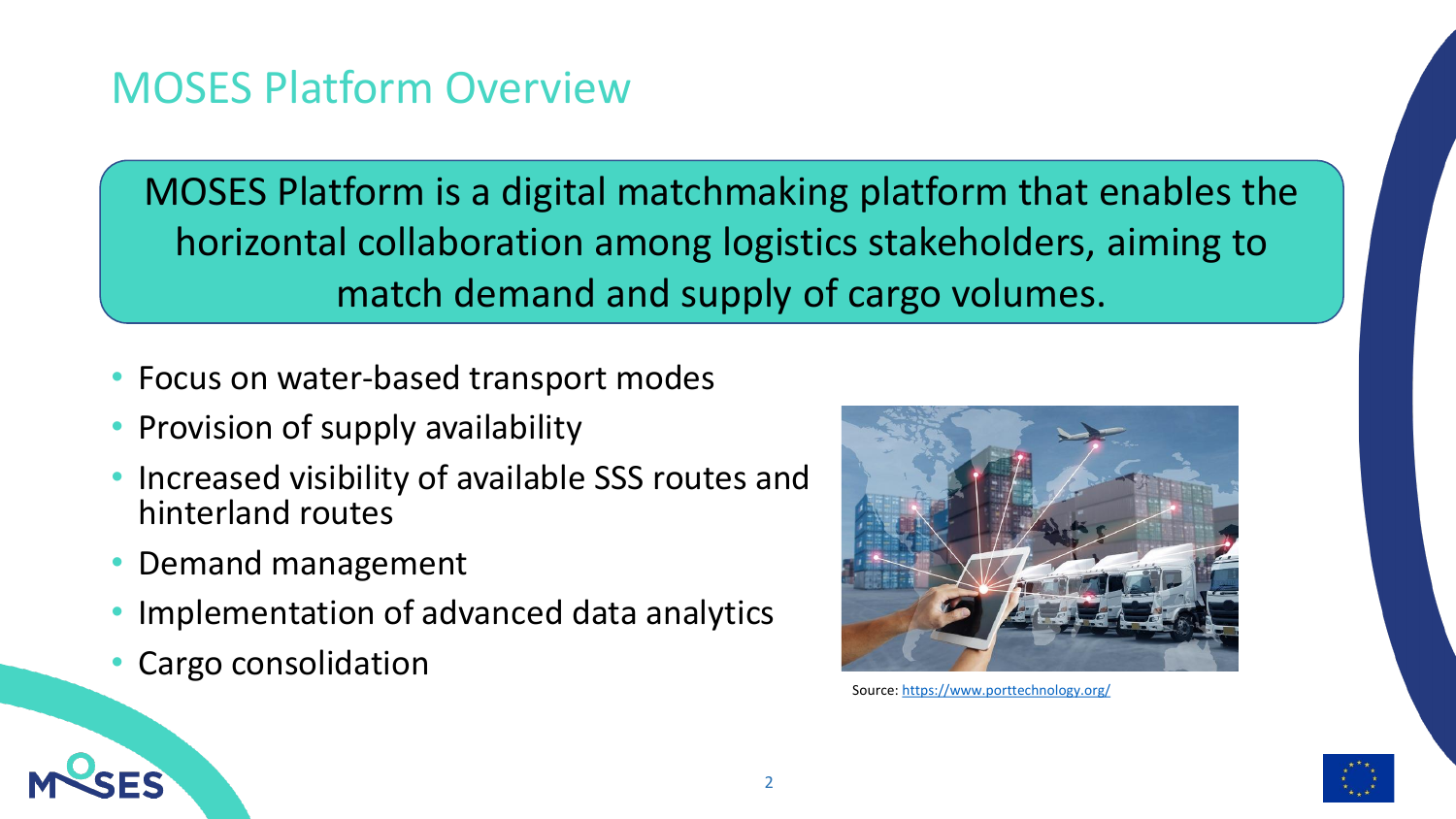#### MOSES Platform Overview

MOSES Platform is a digital matchmaking platform that enables the horizontal collaboration among logistics stakeholders, aiming to match demand and supply of cargo volumes.

- Focus on water-based transport modes
- Provision of supply availability
- Increased visibility of available SSS routes and hinterland routes
- Demand management
- Implementation of advanced data analytics
- Cargo consolidation



Source: <https://www.porttechnology.org/>

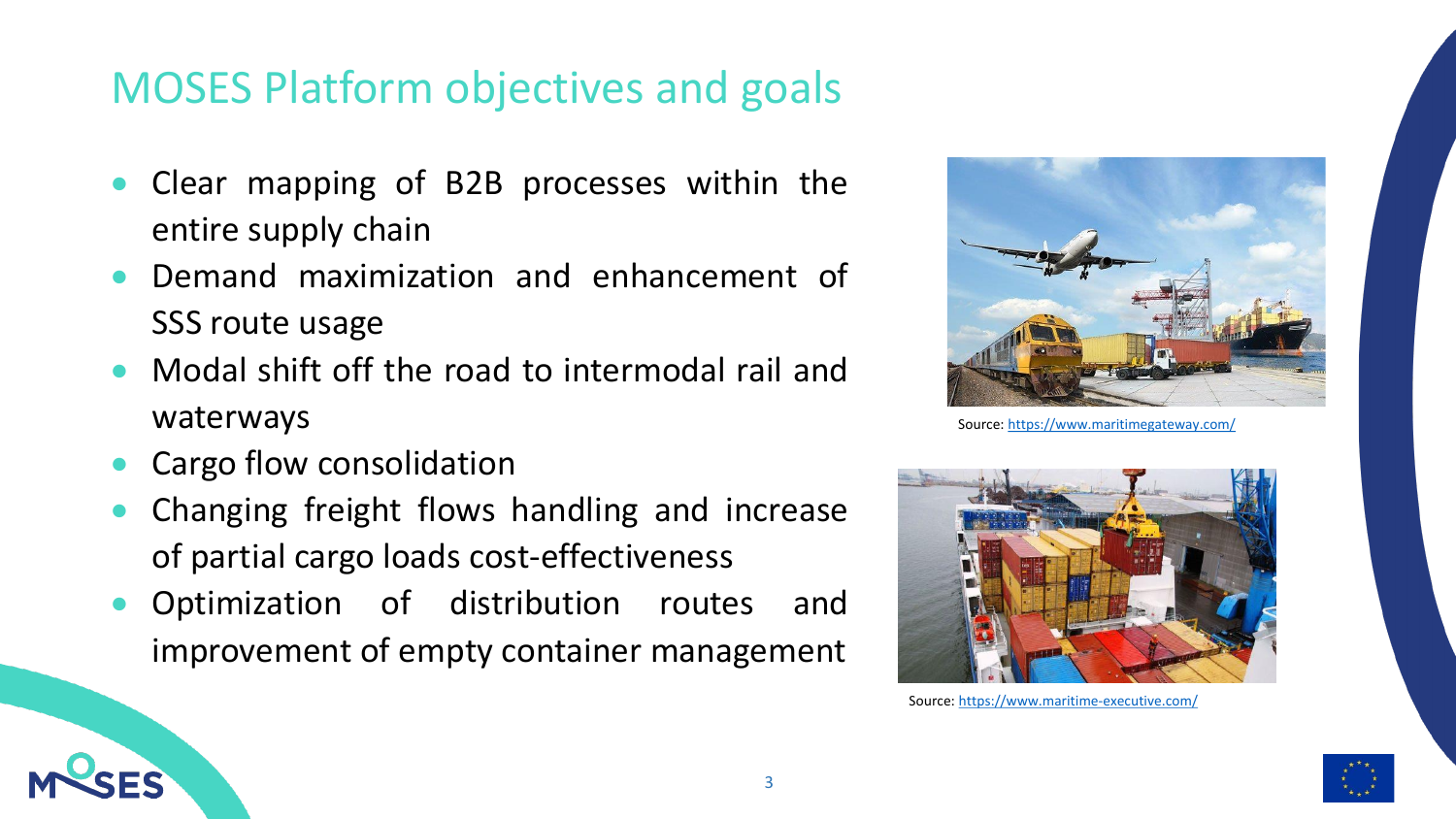#### MOSES Platform objectives and goals

- Clear mapping of B2B processes within the entire supply chain
- Demand maximization and enhancement of SSS route usage
- Modal shift off the road to intermodal rail and waterways
- Cargo flow consolidation
- Changing freight flows handling and increase of partial cargo loads cost-effectiveness
- Optimization of distribution routes and improvement of empty container management



Source: <https://www.maritimegateway.com/>



Source: <https://www.maritime-executive.com/>

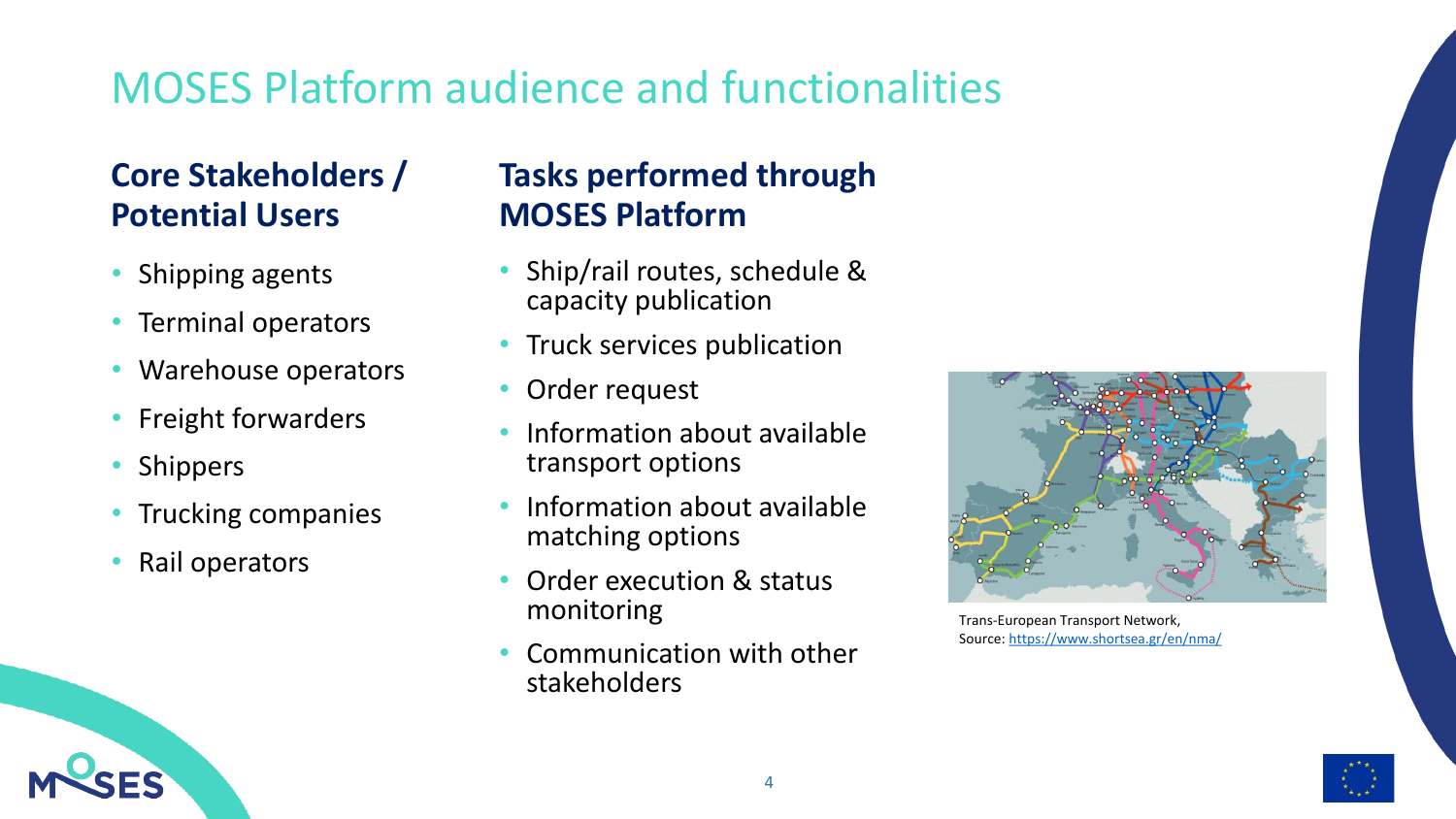### MOSES Platform audience and functionalities

#### **Core Stakeholders / Potential Users**

- Shipping agents
- Terminal operators
- Warehouse operators
- Freight forwarders
- **Shippers**
- Trucking companies
- Rail operators

#### **Tasks performed through MOSES Platform**

- Ship/rail routes, schedule & capacity publication
- Truck services publication
- Order request
- Information about available transport options
- Information about available matching options
- Order execution & status monitoring
- Communication with other stakeholders



Trans-European Transport Network, Source:<https://www.shortsea.gr/en/nma/>

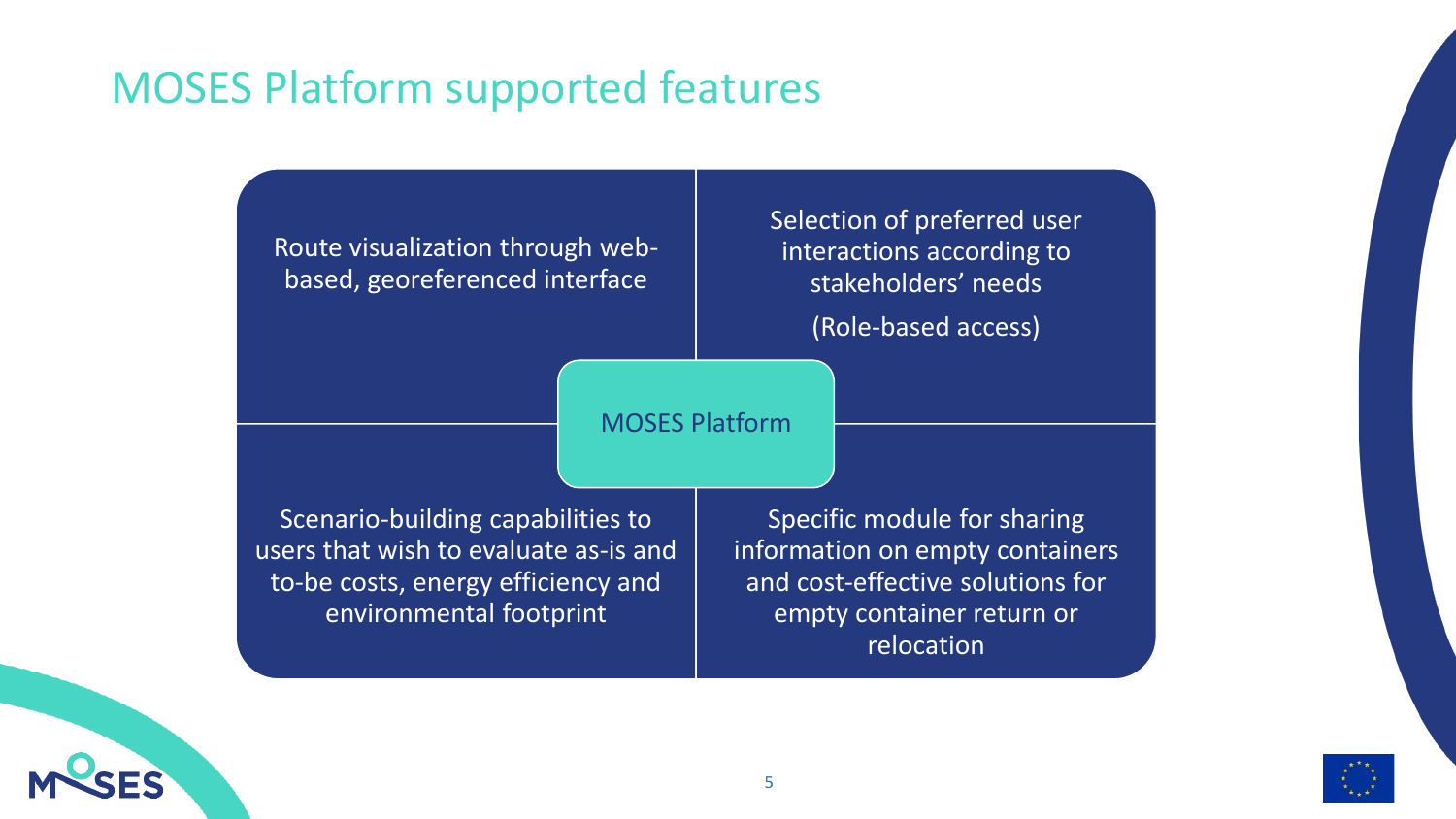#### MOSES Platform supported features

Route visualization through webbased, georeferenced interface

Selection of preferred user interactions according to stakeholders' needs

(Role-based access)

#### MOSES Platform

Scenario-building capabilities to users that wish to evaluate as-is and to-be costs, energy efficiency and environmental footprint

Specific module for sharing information on empty containers and cost-effective solutions for empty container return or relocation

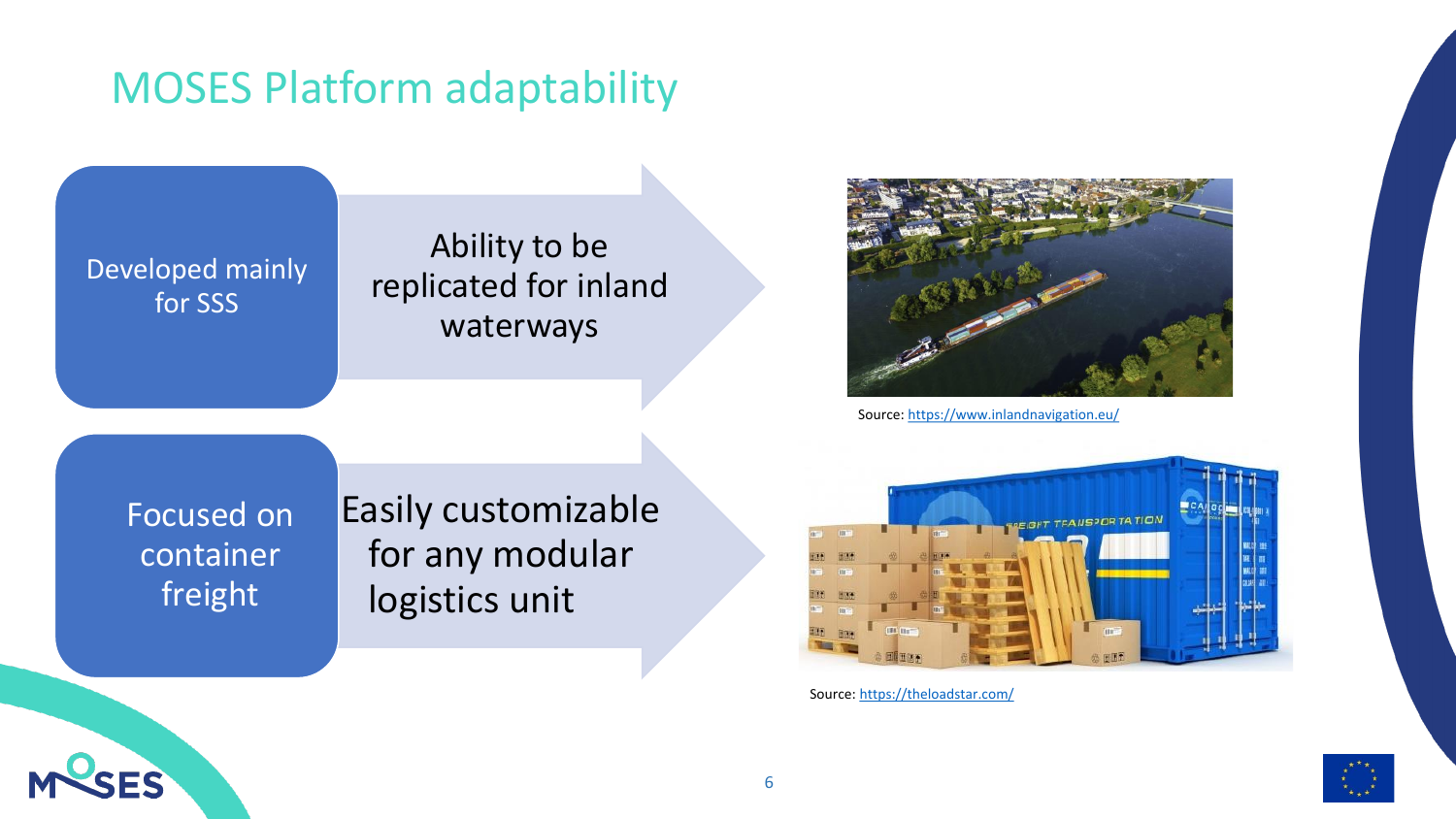#### MOSES Platform adaptability

Developed mainly for SSS

Ability to be replicated for inland waterways



Source: <https://www.inlandnavigation.eu/>

Focused on container freight

Easily customizable for any modular logistics unit



Source: <https://theloadstar.com/>

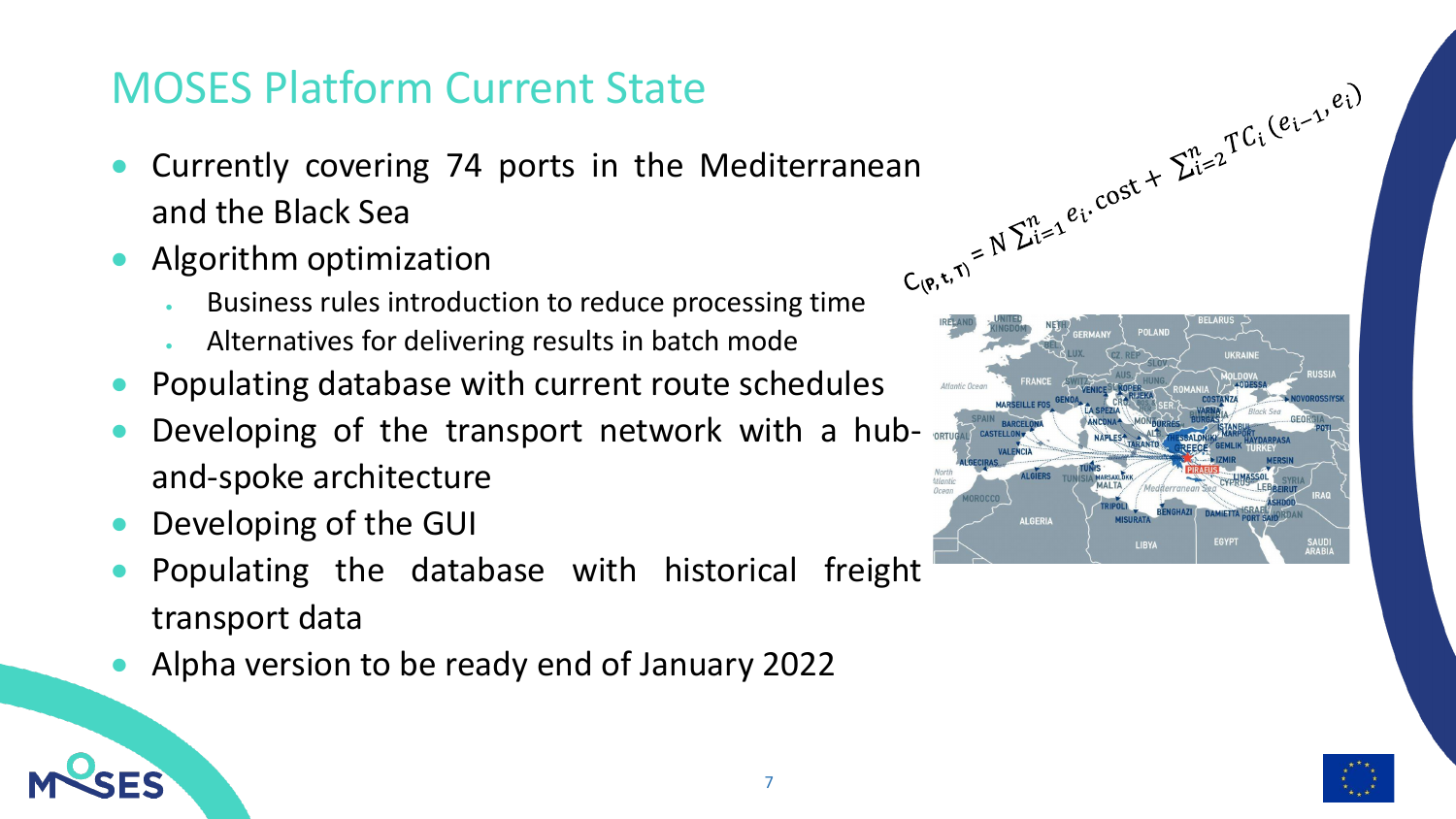#### MOSES Platform Current State

- and the Black Sea
- Algorithm optimization
	- Business rules introduction to reduce processing time
	- Alternatives for delivering results in batch mode
- Populating database with current route schedules
- Developing of the transport network with a huband-spoke architecture
- Developing of the GUI
- Populating the database with historical freight transport data
- Alpha version to be ready end of January 2022